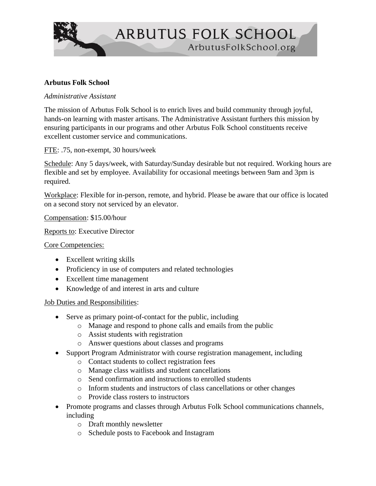

## **Arbutus Folk School**

## *Administrative Assistant*

The mission of Arbutus Folk School is to enrich lives and build community through joyful, hands-on learning with master artisans. The Administrative Assistant furthers this mission by ensuring participants in our programs and other Arbutus Folk School constituents receive excellent customer service and communications.

FTE: .75, non-exempt, 30 hours/week

Schedule: Any 5 days/week, with Saturday/Sunday desirable but not required. Working hours are flexible and set by employee. Availability for occasional meetings between 9am and 3pm is required.

Workplace: Flexible for in-person, remote, and hybrid. Please be aware that our office is located on a second story not serviced by an elevator.

Compensation: \$15.00/hour

Reports to: Executive Director

Core Competencies:

- Excellent writing skills
- Proficiency in use of computers and related technologies
- Excellent time management
- Knowledge of and interest in arts and culture

Job Duties and Responsibilities:

- Serve as primary point-of-contact for the public, including
	- o Manage and respond to phone calls and emails from the public
	- o Assist students with registration
	- o Answer questions about classes and programs
- Support Program Administrator with course registration management, including
	- o Contact students to collect registration fees
	- o Manage class waitlists and student cancellations
	- o Send confirmation and instructions to enrolled students
	- o Inform students and instructors of class cancellations or other changes
	- o Provide class rosters to instructors
- Promote programs and classes through Arbutus Folk School communications channels, including
	- o Draft monthly newsletter
	- o Schedule posts to Facebook and Instagram